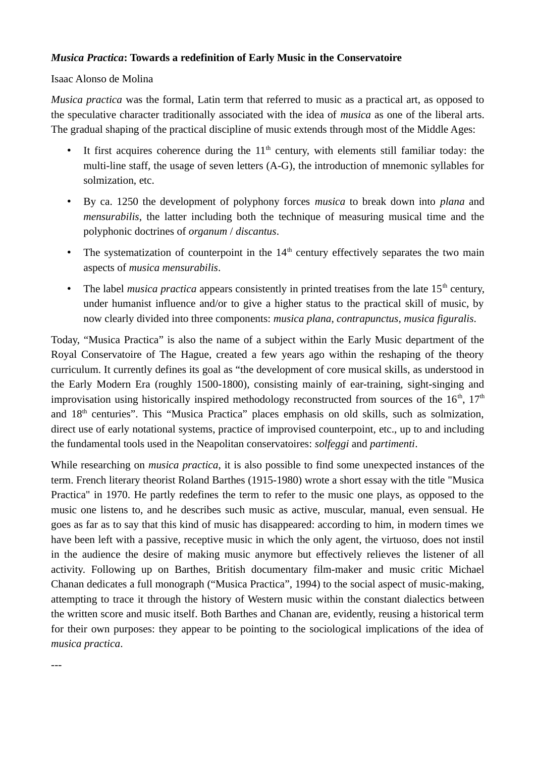## *Musica Practica***: Towards a redefinition of Early Music in the Conservatoire**

## Isaac Alonso de Molina

*Musica practica* was the formal, Latin term that referred to music as a practical art, as opposed to the speculative character traditionally associated with the idea of *musica* as one of the liberal arts. The gradual shaping of the practical discipline of music extends through most of the Middle Ages:

- It first acquires coherence during the  $11<sup>th</sup>$  century, with elements still familiar today: the multi-line staff, the usage of seven letters (A-G), the introduction of mnemonic syllables for solmization, etc.
- By ca. 1250 the development of polyphony forces *musica* to break down into *plana* and *mensurabilis*, the latter including both the technique of measuring musical time and the polyphonic doctrines of *organum* / *discantus*.
- The systematization of counterpoint in the  $14<sup>th</sup>$  century effectively separates the two main aspects of *musica mensurabilis*.
- The label *musica practica* appears consistently in printed treatises from the late  $15<sup>th</sup>$  century, under humanist influence and/or to give a higher status to the practical skill of music, by now clearly divided into three components: *musica plana*, *contrapunctus*, *musica figuralis*.

Today, "Musica Practica" is also the name of a subject within the Early Music department of the Royal Conservatoire of The Hague, created a few years ago within the reshaping of the theory curriculum. It currently defines its goal as "the development of core musical skills, as understood in the Early Modern Era (roughly 1500-1800), consisting mainly of ear-training, sight-singing and improvisation using historically inspired methodology reconstructed from sources of the  $16<sup>th</sup>$ ,  $17<sup>th</sup>$ and 18<sup>th</sup> centuries". This "Musica Practica" places emphasis on old skills, such as solmization, direct use of early notational systems, practice of improvised counterpoint, etc., up to and including the fundamental tools used in the Neapolitan conservatoires: *solfeggi* and *partimenti*.

While researching on *musica practica*, it is also possible to find some unexpected instances of the term. French literary theorist Roland Barthes (1915-1980) wrote a short essay with the title "Musica Practica" in 1970. He partly redefines the term to refer to the music one plays, as opposed to the music one listens to, and he describes such music as active, muscular, manual, even sensual. He goes as far as to say that this kind of music has disappeared: according to him, in modern times we have been left with a passive, receptive music in which the only agent, the virtuoso, does not instil in the audience the desire of making music anymore but effectively relieves the listener of all activity. Following up on Barthes, British documentary film-maker and music critic Michael Chanan dedicates a full monograph ("Musica Practica", 1994) to the social aspect of music-making, attempting to trace it through the history of Western music within the constant dialectics between the written score and music itself. Both Barthes and Chanan are, evidently, reusing a historical term for their own purposes: they appear to be pointing to the sociological implications of the idea of *musica practica*.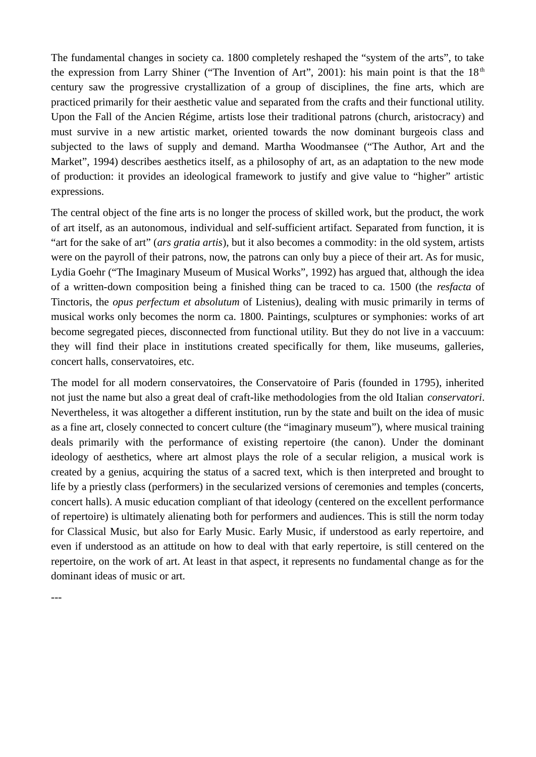The fundamental changes in society ca. 1800 completely reshaped the "system of the arts", to take the expression from Larry Shiner ("The Invention of Art", 2001): his main point is that the  $18<sup>th</sup>$ century saw the progressive crystallization of a group of disciplines, the fine arts, which are practiced primarily for their aesthetic value and separated from the crafts and their functional utility. Upon the Fall of the Ancien Régime, artists lose their traditional patrons (church, aristocracy) and must survive in a new artistic market, oriented towards the now dominant burgeois class and subjected to the laws of supply and demand. Martha Woodmansee ("The Author, Art and the Market", 1994) describes aesthetics itself, as a philosophy of art, as an adaptation to the new mode of production: it provides an ideological framework to justify and give value to "higher" artistic expressions.

The central object of the fine arts is no longer the process of skilled work, but the product, the work of art itself, as an autonomous, individual and self-sufficient artifact. Separated from function, it is "art for the sake of art" (*ars gratia artis*), but it also becomes a commodity: in the old system, artists were on the payroll of their patrons, now, the patrons can only buy a piece of their art. As for music, Lydia Goehr ("The Imaginary Museum of Musical Works", 1992) has argued that, although the idea of a written-down composition being a finished thing can be traced to ca. 1500 (the *resfacta* of Tinctoris, the *opus perfectum et absolutum* of Listenius), dealing with music primarily in terms of musical works only becomes the norm ca. 1800. Paintings, sculptures or symphonies: works of art become segregated pieces, disconnected from functional utility. But they do not live in a vaccuum: they will find their place in institutions created specifically for them, like museums, galleries, concert halls, conservatoires, etc.

The model for all modern conservatoires, the Conservatoire of Paris (founded in 1795), inherited not just the name but also a great deal of craft-like methodologies from the old Italian *conservatori*. Nevertheless, it was altogether a different institution, run by the state and built on the idea of music as a fine art, closely connected to concert culture (the "imaginary museum"), where musical training deals primarily with the performance of existing repertoire (the canon). Under the dominant ideology of aesthetics, where art almost plays the role of a secular religion, a musical work is created by a genius, acquiring the status of a sacred text, which is then interpreted and brought to life by a priestly class (performers) in the secularized versions of ceremonies and temples (concerts, concert halls). A music education compliant of that ideology (centered on the excellent performance of repertoire) is ultimately alienating both for performers and audiences. This is still the norm today for Classical Music, but also for Early Music. Early Music, if understood as early repertoire, and even if understood as an attitude on how to deal with that early repertoire, is still centered on the repertoire, on the work of art. At least in that aspect, it represents no fundamental change as for the dominant ideas of music or art.

---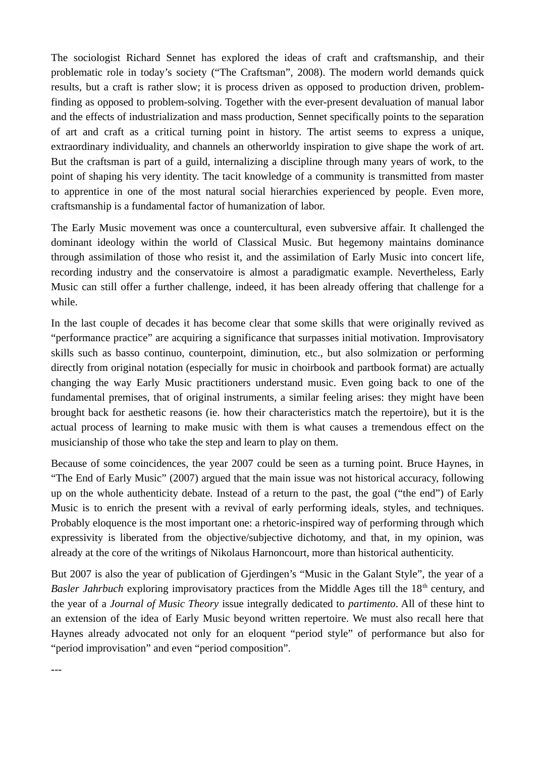The sociologist Richard Sennet has explored the ideas of craft and craftsmanship, and their problematic role in today's society ("The Craftsman", 2008). The modern world demands quick results, but a craft is rather slow; it is process driven as opposed to production driven, problemfinding as opposed to problem-solving. Together with the ever-present devaluation of manual labor and the effects of industrialization and mass production, Sennet specifically points to the separation of art and craft as a critical turning point in history. The artist seems to express a unique, extraordinary individuality, and channels an otherworldy inspiration to give shape the work of art. But the craftsman is part of a guild, internalizing a discipline through many years of work, to the point of shaping his very identity. The tacit knowledge of a community is transmitted from master to apprentice in one of the most natural social hierarchies experienced by people. Even more, craftsmanship is a fundamental factor of humanization of labor.

The Early Music movement was once a countercultural, even subversive affair. It challenged the dominant ideology within the world of Classical Music. But hegemony maintains dominance through assimilation of those who resist it, and the assimilation of Early Music into concert life, recording industry and the conservatoire is almost a paradigmatic example. Nevertheless, Early Music can still offer a further challenge, indeed, it has been already offering that challenge for a while.

In the last couple of decades it has become clear that some skills that were originally revived as "performance practice" are acquiring a significance that surpasses initial motivation. Improvisatory skills such as basso continuo, counterpoint, diminution, etc., but also solmization or performing directly from original notation (especially for music in choirbook and partbook format) are actually changing the way Early Music practitioners understand music. Even going back to one of the fundamental premises, that of original instruments, a similar feeling arises: they might have been brought back for aesthetic reasons (ie. how their characteristics match the repertoire), but it is the actual process of learning to make music with them is what causes a tremendous effect on the musicianship of those who take the step and learn to play on them.

Because of some coincidences, the year 2007 could be seen as a turning point. Bruce Haynes, in "The End of Early Music" (2007) argued that the main issue was not historical accuracy, following up on the whole authenticity debate. Instead of a return to the past, the goal ("the end") of Early Music is to enrich the present with a revival of early performing ideals, styles, and techniques. Probably eloquence is the most important one: a rhetoric-inspired way of performing through which expressivity is liberated from the objective/subjective dichotomy, and that, in my opinion, was already at the core of the writings of Nikolaus Harnoncourt, more than historical authenticity.

But 2007 is also the year of publication of Gjerdingen's "Music in the Galant Style", the year of a *Basler Jahrbuch* exploring improvisatory practices from the Middle Ages till the 18<sup>th</sup> century, and the year of a *Journal of Music Theory* issue integrally dedicated to *partimento*. All of these hint to an extension of the idea of Early Music beyond written repertoire. We must also recall here that Haynes already advocated not only for an eloquent "period style" of performance but also for "period improvisation" and even "period composition".

---